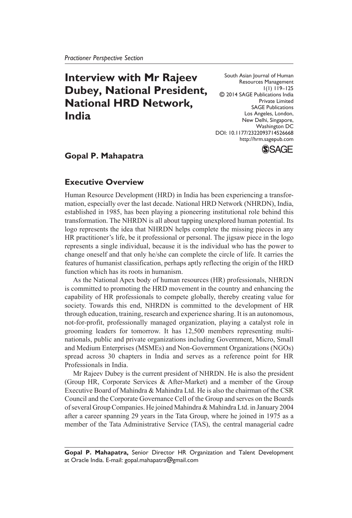# **Interview with Mr Rajeev Dubey, National President, National HRD Network, India**

South Asian Journal of Human Resources Management 1(1) 119–125 2014 SAGE Publications India Private Limited SAGE Publications Los Angeles, London, New Delhi, Singapore, Washington DC DOI: 10.1177/2322093714526668 http://hrm.sagepub.com **SSAGE** 

# **Gopal P. Mahapatra**

# **Executive Overview**

Human Resource Development (HRD) in India has been experiencing a transformation, especially over the last decade. National HRD Network (NHRDN), India, established in 1985, has been playing a pioneering institutional role behind this transformation. The NHRDN is all about tapping unexplored human potential. Its logo represents the idea that NHRDN helps complete the missing pieces in any HR practitioner's life, be it professional or personal. The jigsaw piece in the logo represents a single individual, because it is the individual who has the power to change oneself and that only he/she can complete the circle of life. It carries the features of humanist classification, perhaps aptly reflecting the origin of the HRD function which has its roots in humanism.

As the National Apex body of human resources (HR) professionals, NHRDN is committed to promoting the HRD movement in the country and enhancing the capability of HR professionals to compete globally, thereby creating value for society. Towards this end, NHRDN is committed to the development of HR through education, training, research and experience sharing. It is an autonomous, not-for-profit, professionally managed organization, playing a catalyst role in grooming leaders for tomorrow. It has 12,500 members representing multinationals, public and private organizations including Government, Micro, Small and Medium Enterprises (MSMEs) and Non-Government Organizations (NGOs) spread across 30 chapters in India and serves as a reference point for HR Professionals in India.

Mr Rajeev Dubey is the current president of NHRDN. He is also the president (Group HR, Corporate Services & After-Market) and a member of the Group Executive Board of Mahindra & Mahindra Ltd. He is also the chairman of the CSR Council and the Corporate Governance Cell of the Group and serves on the Boards of several Group Companies. He joined Mahindra & Mahindra Ltd. in January 2004 after a career spanning 29 years in the Tata Group, where he joined in 1975 as a member of the Tata Administrative Service (TAS), the central managerial cadre

**Gopal P. Mahapatra,** Senior Director HR Organization and Talent Development at Oracle India. E-mail: gopal.mahapatra@gmail.com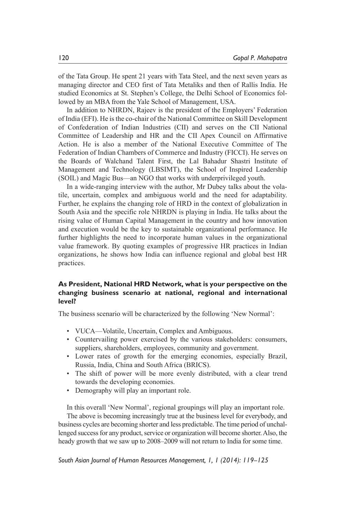of the Tata Group. He spent 21 years with Tata Steel, and the next seven years as managing director and CEO first of Tata Metaliks and then of Rallis India. He studied Economics at St. Stephen's College, the Delhi School of Economics followed by an MBA from the Yale School of Management, USA.

In addition to NHRDN, Rajeev is the president of the Employers' Federation of India (EFI). He is the co-chair of the National Committee on Skill Development of Confederation of Indian Industries (CII) and serves on the CII National Committee of Leadership and HR and the CII Apex Council on Affirmative Action. He is also a member of the National Executive Committee of The Federation of Indian Chambers of Commerce and Industry (FICCI). He serves on the Boards of Walchand Talent First, the Lal Bahadur Shastri Institute of Management and Technology (LBSIMT), the School of Inspired Leadership (SOIL) and Magic Bus—an NGO that works with underprivileged youth.

In a wide-ranging interview with the author, Mr Dubey talks about the volatile, uncertain, complex and ambiguous world and the need for adaptability. Further, he explains the changing role of HRD in the context of globalization in South Asia and the specific role NHRDN is playing in India. He talks about the rising value of Human Capital Management in the country and how innovation and execution would be the key to sustainable organizational performance. He further highlights the need to incorporate human values in the organizational value framework. By quoting examples of progressive HR practices in Indian organizations, he shows how India can influence regional and global best HR practices.

#### **As President, National HRD Network, what is your perspective on the changing business scenario at national, regional and international level?**

The business scenario will be characterized by the following 'New Normal':

- VUCA—Volatile, Uncertain, Complex and Ambiguous.
- ï Countervailing power exercised by the various stakeholders: consumers, suppliers, shareholders, employees, community and government.
- ï Lower rates of growth for the emerging economies, especially Brazil, Russia, India, China and South Africa (BRICS).
- The shift of power will be more evenly distributed, with a clear trend towards the developing economies.
- Demography will play an important role.

In this overall 'New Normal', regional groupings will play an important role. The above is becoming increasingly true at the business level for everybody, and business cycles are becoming shorter and less predictable. The time period of unchallenged success for any product, service or organization will become shorter. Also, the heady growth that we saw up to 2008–2009 will not return to India for some time.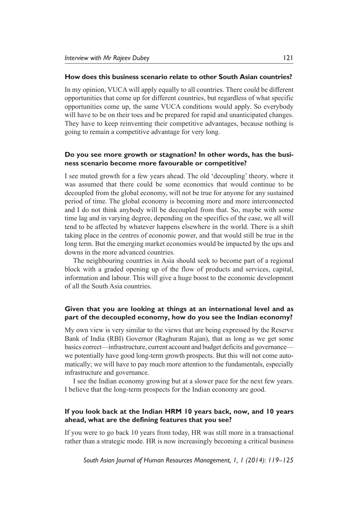#### **How does this business scenario relate to other South Asian countries?**

In my opinion, VUCA will apply equally to all countries. There could be different opportunities that come up for different countries, but regardless of what specific opportunities come up, the same VUCA conditions would apply. So everybody will have to be on their toes and be prepared for rapid and unanticipated changes. They have to keep reinventing their competitive advantages, because nothing is going to remain a competitive advantage for very long.

#### **Do you see more growth or stagnation? In other words, has the business scenario become more favourable or competitive?**

I see muted growth for a few years ahead. The old 'decoupling' theory, where it was assumed that there could be some economics that would continue to be decoupled from the global economy, will not be true for anyone for any sustained period of time. The global economy is becoming more and more interconnected and I do not think anybody will be decoupled from that. So, maybe with some time lag and in varying degree, depending on the specifics of the case, we all will tend to be affected by whatever happens elsewhere in the world. There is a shift taking place in the centres of economic power, and that would still be true in the long term. But the emerging market economies would be impacted by the ups and downs in the more advanced countries.

The neighbouring countries in Asia should seek to become part of a regional block with a graded opening up of the flow of products and services, capital, information and labour. This will give a huge boost to the economic development of all the South Asia countries.

# **Given that you are looking at things at an international level and as part of the decoupled economy, how do you see the Indian economy?**

My own view is very similar to the views that are being expressed by the Reserve Bank of India (RBI) Governor (Raghuram Rajan), that as long as we get some basics correct—infrastructure, current account and budget deficits and governance we potentially have good long-term growth prospects. But this will not come automatically; we will have to pay much more attention to the fundamentals, especially infrastructure and governance.

I see the Indian economy growing but at a slower pace for the next few years. I believe that the long-term prospects for the Indian economy are good.

# **If you look back at the Indian HRM 10 years back, now, and 10 years ahead, what are the defining features that you see?**

If you were to go back 10 years from today, HR was still more in a transactional rather than a strategic mode. HR is now increasingly becoming a critical business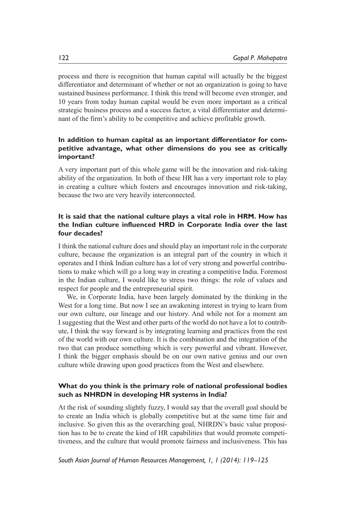process and there is recognition that human capital will actually be the biggest differentiator and determinant of whether or not an organization is going to have sustained business performance. I think this trend will become even stronger, and 10 years from today human capital would be even more important as a critical strategic business process and a success factor, a vital differentiator and determinant of the firm's ability to be competitive and achieve profitable growth.

# **In addition to human capital as an important differentiator for competitive advantage, what other dimensions do you see as critically important?**

A very important part of this whole game will be the innovation and risk-taking ability of the organization. In both of these HR has a very important role to play in creating a culture which fosters and encourages innovation and risk-taking, because the two are very heavily interconnected.

# **It is said that the national culture plays a vital role in HRM. How has the Indian culture influenced HRD in Corporate India over the last four decades?**

I think the national culture does and should play an important role in the corporate culture, because the organization is an integral part of the country in which it operates and I think Indian culture has a lot of very strong and powerful contributions to make which will go a long way in creating a competitive India. Foremost in the Indian culture, I would like to stress two things: the role of values and respect for people and the entrepreneurial spirit.

We, in Corporate India, have been largely dominated by the thinking in the West for a long time. But now I see an awakening interest in trying to learn from our own culture, our lineage and our history. And while not for a moment am I suggesting that the West and other parts of the world do not have a lot to contribute, I think the way forward is by integrating learning and practices from the rest of the world with our own culture. It is the combination and the integration of the two that can produce something which is very powerful and vibrant. However, I think the bigger emphasis should be on our own native genius and our own culture while drawing upon good practices from the West and elsewhere.

# **What do you think is the primary role of national professional bodies such as NHRDN in developing HR systems in India?**

At the risk of sounding slightly fuzzy, I would say that the overall goal should be to create an India which is globally competitive but at the same time fair and inclusive. So given this as the overarching goal, NHRDN's basic value proposition has to be to create the kind of HR capabilities that would promote competitiveness, and the culture that would promote fairness and inclusiveness. This has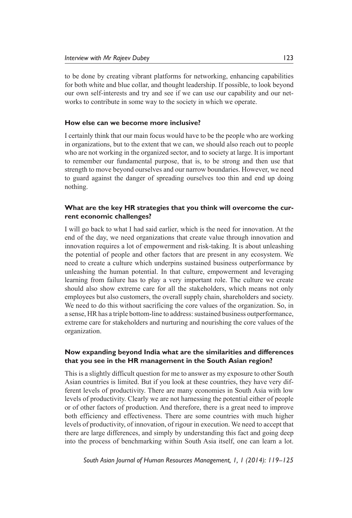to be done by creating vibrant platforms for networking, enhancing capabilities for both white and blue collar, and thought leadership. If possible, to look beyond our own self-interests and try and see if we can use our capability and our networks to contribute in some way to the society in which we operate.

#### **How else can we become more inclusive?**

I certainly think that our main focus would have to be the people who are working in organizations, but to the extent that we can, we should also reach out to people who are not working in the organized sector, and to society at large. It is important to remember our fundamental purpose, that is, to be strong and then use that strength to move beyond ourselves and our narrow boundaries. However, we need to guard against the danger of spreading ourselves too thin and end up doing nothing.

# **What are the key HR strategies that you think will overcome the current economic challenges?**

I will go back to what I had said earlier, which is the need for innovation. At the end of the day, we need organizations that create value through innovation and innovation requires a lot of empowerment and risk-taking. It is about unleashing the potential of people and other factors that are present in any ecosystem. We need to create a culture which underpins sustained business outperformance by unleashing the human potential. In that culture, empowerment and leveraging learning from failure has to play a very important role. The culture we create should also show extreme care for all the stakeholders, which means not only employees but also customers, the overall supply chain, shareholders and society. We need to do this without sacrificing the core values of the organization. So, in a sense, HR has a triple bottom-line to address: sustained business outperformance, extreme care for stakeholders and nurturing and nourishing the core values of the organization.

#### **Now expanding beyond India what are the similarities and differences that you see in the HR management in the South Asian region?**

This is a slightly difficult question for me to answer as my exposure to other South Asian countries is limited. But if you look at these countries, they have very different levels of productivity. There are many economies in South Asia with low levels of productivity. Clearly we are not harnessing the potential either of people or of other factors of production. And therefore, there is a great need to improve both efficiency and effectiveness. There are some countries with much higher levels of productivity, of innovation, of rigour in execution. We need to accept that there are large differences, and simply by understanding this fact and going deep into the process of benchmarking within South Asia itself, one can learn a lot.

*South Asian Journal of Human Resources Management, 1, 1 (2014): 119–125*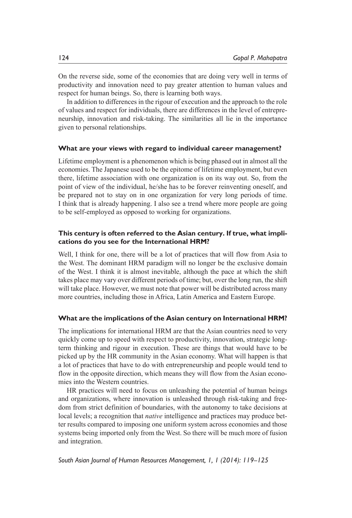On the reverse side, some of the economies that are doing very well in terms of productivity and innovation need to pay greater attention to human values and respect for human beings. So, there is learning both ways.

In addition to differences in the rigour of execution and the approach to the role of values and respect for individuals, there are differences in the level of entrepreneurship, innovation and risk-taking. The similarities all lie in the importance given to personal relationships.

#### **What are your views with regard to individual career management?**

Lifetime employment is a phenomenon which is being phased out in almost all the economies. The Japanese used to be the epitome of lifetime employment, but even there, lifetime association with one organization is on its way out. So, from the point of view of the individual, he/she has to be forever reinventing oneself, and be prepared not to stay on in one organization for very long periods of time. I think that is already happening. I also see a trend where more people are going to be self-employed as opposed to working for organizations.

#### **This century is often referred to the Asian century. If true, what implications do you see for the International HRM?**

Well, I think for one, there will be a lot of practices that will flow from Asia to the West. The dominant HRM paradigm will no longer be the exclusive domain of the West. I think it is almost inevitable, although the pace at which the shift takes place may vary over different periods of time; but, over the long run, the shift will take place. However, we must note that power will be distributed across many more countries, including those in Africa, Latin America and Eastern Europe.

#### **What are the implications of the Asian century on International HRM?**

The implications for international HRM are that the Asian countries need to very quickly come up to speed with respect to productivity, innovation, strategic longterm thinking and rigour in execution. These are things that would have to be picked up by the HR community in the Asian economy. What will happen is that a lot of practices that have to do with entrepreneurship and people would tend to flow in the opposite direction, which means they will flow from the Asian economies into the Western countries.

HR practices will need to focus on unleashing the potential of human beings and organizations, where innovation is unleashed through risk-taking and freedom from strict definition of boundaries, with the autonomy to take decisions at local levels; a recognition that *native* intelligence and practices may produce better results compared to imposing one uniform system across economies and those systems being imported only from the West. So there will be much more of fusion and integration.

*South Asian Journal of Human Resources Management, 1, 1 (2014): 119–125*